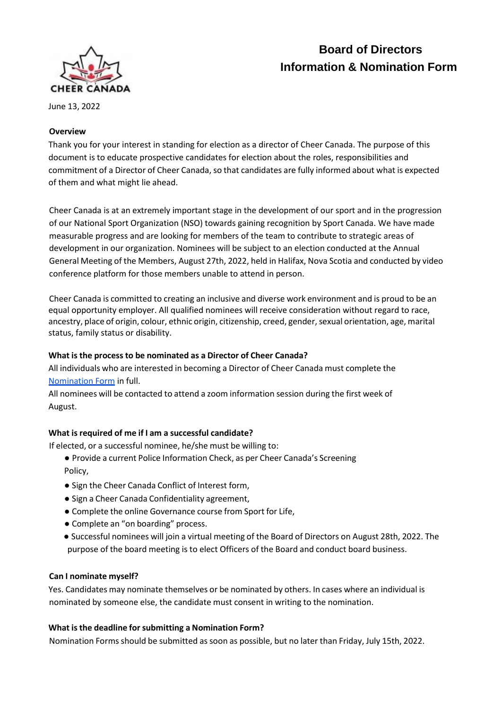

# **Board of Directors Information & Nomination Form**

June 13, 2022

# **Overview**

Thank you for your interest in standing for election as a director of Cheer Canada. The purpose of this document is to educate prospective candidates for election about the roles, responsibilities and commitment of a Director of Cheer Canada, so that candidates are fully informed about what is expected of them and what might lie ahead.

Cheer Canada is at an extremely important stage in the development of our sport and in the progression of our National Sport Organization (NSO) towards gaining recognition by Sport Canada. We have made measurable progress and are looking for members of the team to contribute to strategic areas of development in our organization. Nominees will be subject to an election conducted at the Annual General Meeting of the Members, August 27th, 2022, held in Halifax, Nova Scotia and conducted by video conference platform for those members unable to attend in person.

Cheer Canada is committed to creating an inclusive and diverse work environment and is proud to be an equal opportunity employer. All qualified nominees will receive consideration without regard to race, ancestry, place of origin, colour, ethnic origin, citizenship, creed, gender, sexual orientation, age, marital status, family status or disability.

## **What is the process to be nominated as a Director of Cheer Canada?**

All individuals who are interested in becoming a Director of Cheer Canada must complete the [Nomination](https://forms.gle/E6XVkwLmtLtaLtYFA) Form in full.

All nominees will be contacted to attend a zoom information session during the first week of August.

# **What isrequired of me if I am a successful candidate?**

If elected, or a successful nominee, he/she must be willing to:

- Provide a current Police Information Check, as per Cheer Canada's Screening Policy,
- Sign the Cheer Canada Conflict of Interest form,
- Sign a Cheer Canada Confidentiality agreement,
- Complete the online Governance course from Sport for Life,
- Complete an "on boarding" process.
- Successful nominees will join a virtual meeting of the Board of Directors on August 28th, 2022. The purpose of the board meeting is to elect Officers of the Board and conduct board business.

## **Can I nominate myself?**

Yes. Candidates may nominate themselves or be nominated by others. In cases where an individual is nominated by someone else, the candidate must consent in writing to the nomination.

## **What isthe deadline forsubmitting a Nomination Form?**

Nomination Forms should be submitted as soon as possible, but no later than Friday, July 15th, 2022.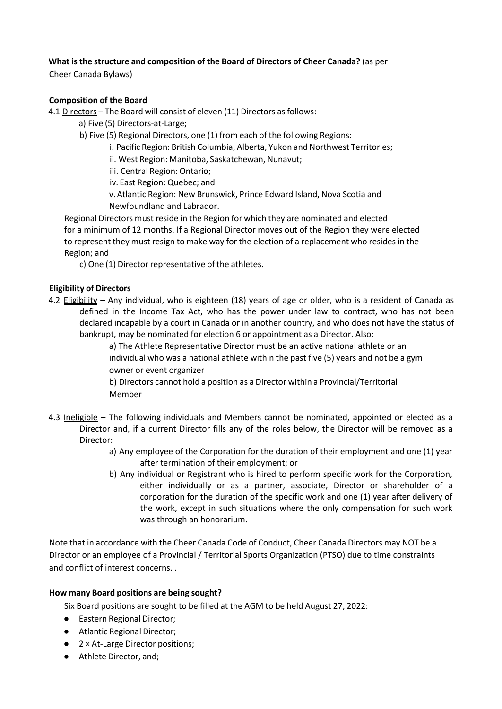## **What is the structure and composition of the Board of Directors of Cheer Canada?** (as per

Cheer Canada Bylaws)

## **Composition of the Board**

4.1 Directors - The Board will consist of eleven (11) Directors as follows:

- a) Five (5) Directors-at-Large;
- b) Five (5) Regional Directors, one (1) from each of the following Regions:
	- i. Pacific Region: British Columbia, Alberta, Yukon and Northwest Territories;

ii. West Region: Manitoba, Saskatchewan, Nunavut;

- iii. Central Region: Ontario;
- iv. East Region: Quebec; and
- v.Atlantic Region: New Brunswick, Prince Edward Island, Nova Scotia and Newfoundland and Labrador.

Regional Directors must reside in the Region for which they are nominated and elected for a minimum of 12 months. If a Regional Director moves out of the Region they were elected to represent they must resign to make way for the election of a replacement who resides in the Region; and

c) One (1) Director representative of the athletes.

## **Eligibility of Directors**

4.2 Eligibility – Any individual, who is eighteen (18) years of age or older, who is a resident of Canada as defined in the Income Tax Act, who has the power under law to contract, who has not been declared incapable by a court in Canada or in another country, and who does not have the status of bankrupt, may be nominated for election 6 or appointment as a Director. Also:

a) The Athlete Representative Director must be an active national athlete or an individual who was a national athlete within the past five (5) years and not be a gym owner or event organizer

b) Directors cannot hold a position as a Director within a Provincial/Territorial Member

- 4.3 Ineligible The following individuals and Members cannot be nominated, appointed or elected as a Director and, if a current Director fills any of the roles below, the Director will be removed as a Director:
	- a) Any employee of the Corporation for the duration of their employment and one (1) year after termination of their employment; or
	- b) Any individual or Registrant who is hired to perform specific work for the Corporation, either individually or as a partner, associate, Director or shareholder of a corporation for the duration of the specific work and one (1) year after delivery of the work, except in such situations where the only compensation for such work was through an honorarium.

Note that in accordance with the Cheer Canada Code of Conduct, Cheer Canada Directors may NOT be a Director or an employee of a Provincial / Territorial Sports Organization (PTSO) due to time constraints and conflict of interest concerns. .

## **How many Board positions are being sought?**

Six Board positions are sought to be filled at the AGM to be held August 27, 2022:

- Eastern Regional Director;
- Atlantic Regional Director;
- 2 × At-Large Director positions;
- Athlete Director, and;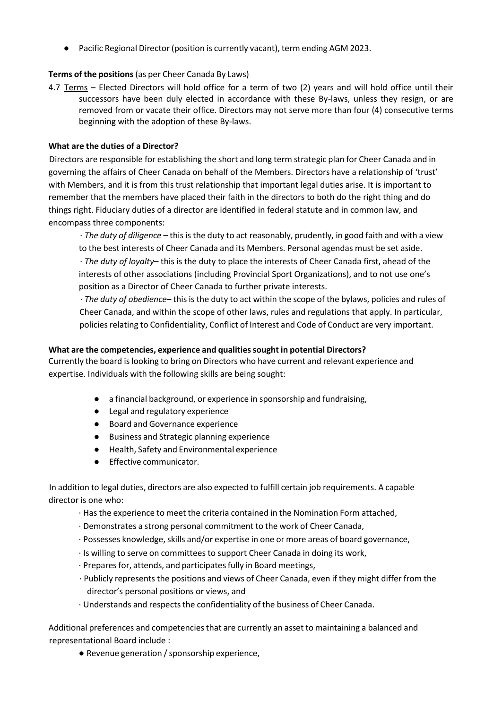● Pacific Regional Director (position is currently vacant), term ending AGM 2023.

## **Terms of the positions** (as per Cheer Canada By Laws)

4.7 Terms - Elected Directors will hold office for a term of two (2) years and will hold office until their successors have been duly elected in accordance with these By-laws, unless they resign, or are removed from or vacate their office. Directors may not serve more than four (4) consecutive terms beginning with the adoption of these By-laws.

## **What are the duties of a Director?**

Directors are responsible for establishing the short and long term strategic plan for Cheer Canada and in governing the affairs of Cheer Canada on behalf of the Members. Directors have a relationship of 'trust' with Members, and it is from this trust relationship that important legal duties arise. It is important to remember that the members have placed their faith in the directors to both do the right thing and do things right. Fiduciary duties of a director are identified in federal statute and in common law, and encompass three components:

· *The duty of diligence* – this is the duty to act reasonably, prudently, in good faith and with a view to the best interests of Cheer Canada and its Members. Personal agendas must be set aside.

· *The duty of loyalty*– this is the duty to place the interests of Cheer Canada first, ahead of the interests of other associations (including Provincial Sport Organizations), and to not use one's position as a Director of Cheer Canada to further private interests.

*· The duty of obedience*– this is the duty to act within the scope of the bylaws, policies and rules of Cheer Canada, and within the scope of other laws, rules and regulations that apply. In particular, policies relating to Confidentiality, Conflict of Interest and Code of Conduct are very important.

## **What are the competencies, experience and qualitiessought in potential Directors?**

Currently the board is looking to bring on Directors who have current and relevant experience and expertise. Individuals with the following skills are being sought:

- a financial background, or experience in sponsorship and fundraising,
- Legal and regulatory experience
- Board and Governance experience
- Business and Strategic planning experience
- Health, Safety and Environmental experience
- Effective communicator.

In addition to legal duties, directors are also expected to fulfill certain job requirements. A capable director is one who:

- · Hasthe experience to meet the criteria contained in the Nomination Form attached,
- · Demonstrates a strong personal commitment to the work of Cheer Canada,
- · Possesses knowledge, skills and/or expertise in one or more areas of board governance,
- · Is willing to serve on committees to support Cheer Canada in doing its work,
- · Preparesfor, attends, and participatesfully in Board meetings,
- · Publicly represents the positions and views of Cheer Canada, even if they might differ from the director's personal positions or views, and
- · Understands and respectsthe confidentiality of the business of Cheer Canada.

Additional preferences and competencies that are currently an asset to maintaining a balanced and representational Board include :

● Revenue generation / sponsorship experience,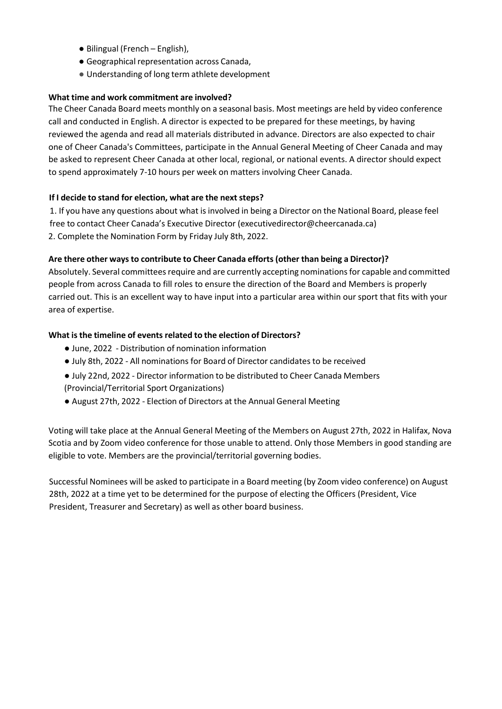- Bilingual (French English),
- Geographical representation across Canada,
- Understanding of long term athlete development

## **What time and work commitment are involved?**

The Cheer Canada Board meets monthly on a seasonal basis. Most meetings are held by video conference call and conducted in English. A director is expected to be prepared for these meetings, by having reviewed the agenda and read all materials distributed in advance. Directors are also expected to chair one of Cheer Canada's Committees, participate in the Annual General Meeting of Cheer Canada and may be asked to represent Cheer Canada at other local, regional, or national events. A director should expect to spend approximately 7-10 hours per week on matters involving Cheer Canada.

## **If I decide to stand for election, what are the nextsteps?**

1. If you have any questions about what is involved in being a Director on the National Board, please feel free to contact Cheer Canada's Executive Director (executivedirector@cheercanada.ca) 2. Complete the Nomination Form by Friday July 8th, 2022.

## **Are there other ways to contribute to Cheer Canada efforts (other than being a Director)?**

Absolutely. Several committees require and are currently accepting nominations for capable and committed people from across Canada to fill roles to ensure the direction of the Board and Members is properly carried out. This is an excellent way to have input into a particular area within our sport that fits with your area of expertise.

## **What isthe timeline of events related to the election of Directors?**

- June, 2022 Distribution of nomination information
- July 8th, 2022 All nominations for Board of Director candidates to be received
- July 22nd, 2022 Director information to be distributed to Cheer Canada Members (Provincial/Territorial Sport Organizations)
- August 27th, 2022 Election of Directors at the Annual General Meeting

Voting will take place at the Annual General Meeting of the Members on August 27th, 2022 in Halifax, Nova Scotia and by Zoom video conference for those unable to attend. Only those Members in good standing are eligible to vote. Members are the provincial/territorial governing bodies.

Successful Nominees will be asked to participate in a Board meeting (by Zoom video conference) on August 28th, 2022 at a time yet to be determined for the purpose of electing the Officers (President, Vice President, Treasurer and Secretary) as well as other board business.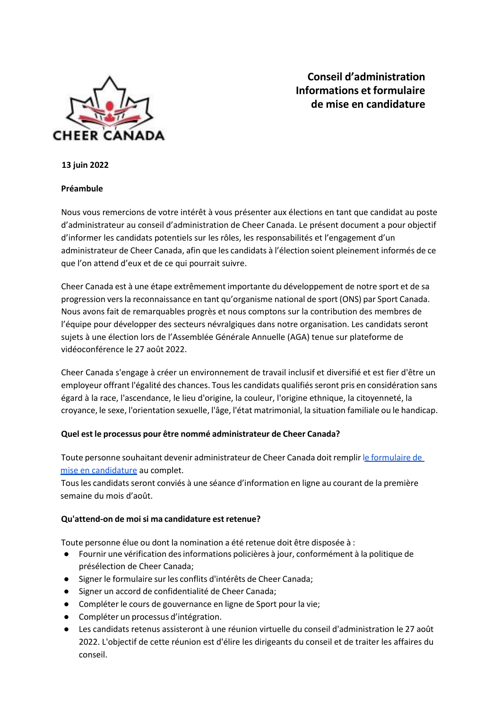

**Conseil d'administration Informations et formulaire de mise en candidature**

**13 juin 2022**

#### **Préambule**

Nous vous remercions de votre intérêt à vous présenter aux élections en tant que candidat au poste d'administrateur au conseil d'administration de Cheer Canada. Le présent document a pour objectif d'informer les candidats potentiels sur les rôles, les responsabilités et l'engagement d'un administrateur de Cheer Canada, afin que les candidats à l'élection soient pleinement informés de ce que l'on attend d'eux et de ce qui pourrait suivre.

Cheer Canada est à une étape extrêmement importante du développement de notre sport et de sa progression versla reconnaissance en tant qu'organisme national de sport (ONS) par Sport Canada. Nous avons fait de remarquables progrès et nous comptons sur la contribution des membres de l'équipe pour développer des secteurs névralgiques dans notre organisation. Les candidats seront sujets à une élection lors de l'Assemblée Générale Annuelle (AGA) tenue sur plateforme de vidéoconférence le 27 août 2022.

Cheer Canada s'engage à créer un environnement de travail inclusif et diversifié et est fier d'être un employeur offrant l'égalité des chances. Tous les candidats qualifiés seront pris en considération sans égard à la race, l'ascendance, le lieu d'origine, la couleur, l'origine ethnique, la citoyenneté, la croyance, le sexe, l'orientation sexuelle, l'âge, l'état matrimonial, la situation familiale ou le handicap.

#### **Quel est le processus pour être nommé administrateur de Cheer Canada?**

Toute personne souhaitant devenir administrateur de Cheer Canada doit remplir le [formulaire](https://forms.gle/E6XVkwLmtLtaLtYFA) de mise en [candidature](https://forms.gle/cjZmhBzn5ueTFPK7A) au complet.

Tousles candidatsseront conviés à une séance d'information en ligne au courant de la première semaine du mois d'août.

#### **Qu'attend-on de moisi ma candidature est retenue?**

Toute personne élue ou dont la nomination a été retenue doit être disposée à :

- Fournir une vérification desinformations policières à jour, conformément à la politique de présélection de Cheer Canada;
- Signer le formulaire sur les conflits d'intérêts de Cheer Canada;
- Signer un accord de confidentialité de Cheer Canada;
- Compléter le cours de gouvernance en ligne de Sport pour la vie;
- Compléter un processus d'intégration.
- Les candidats retenus assisteront à une réunion virtuelle du conseil d'administration le 27 août 2022. L'objectif de cette réunion est d'élire les dirigeants du conseil et de traiter les affaires du conseil.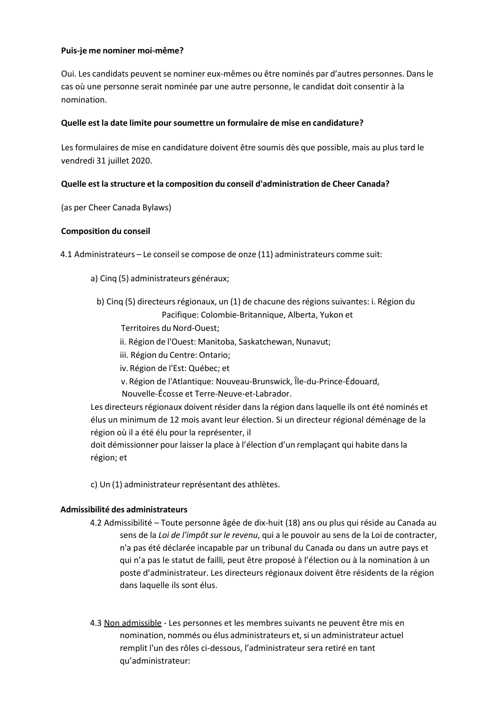#### **Puis-je me nominer moi-même?**

Oui. Les candidats peuvent se nominer eux-mêmes ou être nominés par d'autres personnes. Dans le cas où une personne serait nominée par une autre personne, le candidat doit consentir à la nomination.

## **Quelle est la date limite poursoumettre un formulaire de mise en candidature?**

Les formulaires de mise en candidature doivent être soumis dès que possible, mais au plus tard le vendredi 31 juillet 2020.

## **Quelle est la structure et la composition du conseil d'administration de Cheer Canada?**

(as per Cheer Canada Bylaws)

## **Composition du conseil**

4.1 Administrateurs – Le conseilse compose de onze (11) administrateurs comme suit:

- a) Cinq (5) administrateurs généraux;
	- b) Cinq (5) directeurs régionaux, un (1) de chacune des régions suivantes: i. Région du Pacifique: Colombie-Britannique, Alberta, Yukon et
		- Territoires du Nord-Ouest;
		- ii. Région de l'Ouest: Manitoba, Saskatchewan, Nunavut;
		- iii. Région du Centre: Ontario;
		- iv. Région de l'Est: Québec; et
		- v. Région de l'Atlantique: Nouveau-Brunswick, Île-du-Prince-Édouard, Nouvelle-Écosse et Terre-Neuve-et-Labrador.

Les directeurs régionaux doivent résider dans la région dans laquelle ils ont été nominés et élus un minimum de 12 mois avant leur élection. Si un directeur régional déménage de la région où il a été élu pour la représenter, il

doit démissionner pour laisser la place à l'élection d'un remplaçant qui habite dans la région; et

c) Un (1) administrateur représentant des athlètes.

#### **Admissibilité des administrateurs**

- 4.2 Admissibilité Toute personne âgée de dix-huit (18) ans ou plus qui réside au Canada au sens de la *Loi de l'impôt sur le revenu*, qui a le pouvoir au sens de la Loi de contracter, n'a pas été déclarée incapable par un tribunal du Canada ou dans un autre pays et qui n'a pas le statut de failli, peut être proposé à l'élection ou à la nomination à un poste d'administrateur. Les directeurs régionaux doivent être résidents de la région dans laquelle ils sont élus.
- 4.3 Non admissible Les personnes et les membres suivants ne peuvent être mis en nomination, nommés ou élus administrateurs et, si un administrateur actuel remplit l'un des rôles ci-dessous, l'administrateur sera retiré en tant qu'administrateur: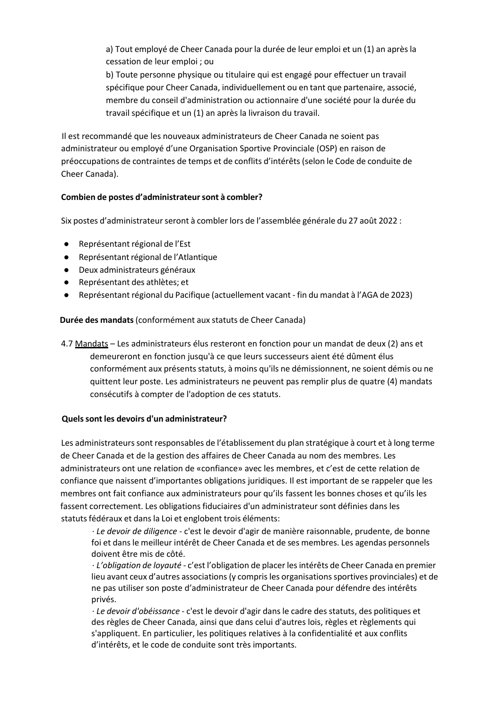a) Tout employé de Cheer Canada pour la durée de leur emploi et un (1) an après la cessation de leur emploi ; ou

b) Toute personne physique ou titulaire qui est engagé pour effectuer un travail spécifique pour Cheer Canada, individuellement ou en tant que partenaire, associé, membre du conseil d'administration ou actionnaire d'une société pour la durée du travail spécifique et un (1) an après la livraison du travail.

Il est recommandé que les nouveaux administrateurs de Cheer Canada ne soient pas administrateur ou employé d'une Organisation Sportive Provinciale (OSP) en raison de préoccupations de contraintes de temps et de conflits d'intérêts(selon le Code de conduite de Cheer Canada).

## **Combien de postes d'administrateursont à combler?**

Six postes d'administrateur seront à combler lors de l'assemblée générale du 27 août 2022 :

- Représentant régional de l'Est
- Représentant régional de l'Atlantique
- Deux administrateurs généraux
- Représentant des athlètes; et
- Représentant régional du Pacifique (actuellement vacant fin du mandat à l'AGA de 2023)

#### **Durée des mandats**(conformément aux statuts de Cheer Canada)

4.7 Mandats – Les administrateurs élus resteront en fonction pour un mandat de deux (2) ans et demeureront en fonction jusqu'à ce que leurs successeurs aient été dûment élus conformément aux présents statuts, à moins qu'ils ne démissionnent, ne soient démis ou ne quittent leur poste. Les administrateurs ne peuvent pas remplir plus de quatre (4) mandats consécutifs à compter de l'adoption de ces statuts.

#### **Quelssont les devoirs d'un administrateur?**

Les administrateurs sont responsables de l'établissement du plan stratégique à court et à long terme de Cheer Canada et de la gestion des affaires de Cheer Canada au nom des membres. Les administrateurs ont une relation de «confiance» avec les membres, et c'est de cette relation de confiance que naissent d'importantes obligations juridiques. Il est important de se rappeler que les membres ont fait confiance aux administrateurs pour qu'ils fassent les bonnes choses et qu'ils les fassent correctement. Les obligations fiduciaires d'un administrateur sont définies dans les statuts fédéraux et dans la Loi et englobent trois éléments:

· *Le devoir de diligence* - c'est le devoir d'agir de manière raisonnable, prudente, de bonne foi et dans le meilleur intérêt de Cheer Canada et de ses membres. Les agendas personnels doivent être mis de côté.

· *L'obligation de loyauté* - c'est l'obligation de placerlesintérêts de Cheer Canada en premier lieu avant ceux d'autres associations (y compris les organisations sportives provinciales) et de ne pas utiliser son poste d'administrateur de Cheer Canada pour défendre des intérêts privés.

· *Le devoir d'obéissance* - c'est le devoir d'agir dans le cadre des statuts, des politiques et des règles de Cheer Canada, ainsi que dans celui d'autres lois, règles et règlements qui s'appliquent. En particulier, les politiques relatives à la confidentialité et aux conflits d'intérêts, et le code de conduite sont très importants.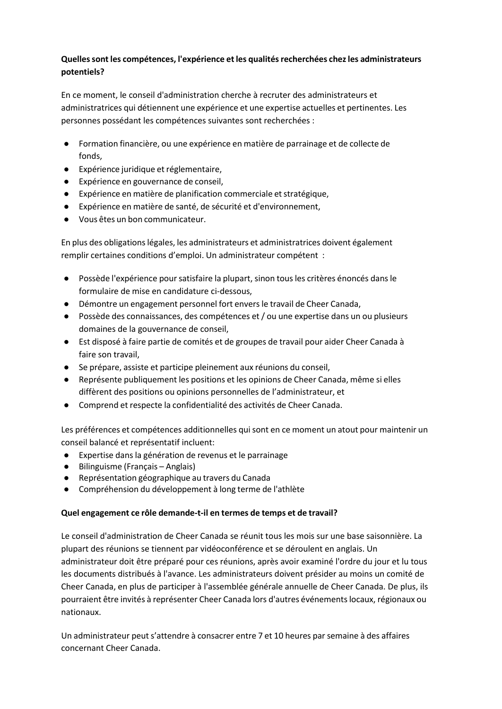# **Quellessont les compétences, l'expérience et les qualitésrecherchées chezles administrateurs potentiels?**

En ce moment, le conseil d'administration cherche à recruter des administrateurs et administratrices qui détiennent une expérience et une expertise actuelles et pertinentes. Les personnes possédant les compétences suivantes sont recherchées :

- Formation financière, ou une expérience en matière de parrainage et de collecte de fonds,
- Expérience juridique et réglementaire,
- Expérience en gouvernance de conseil,
- Expérience en matière de planification commerciale et stratégique,
- Expérience en matière de santé, de sécurité et d'environnement,
- Vous êtes un bon communicateur.

En plus des obligationslégales, les administrateurs et administratrices doivent également remplir certaines conditions d'emploi. Un administrateur compétent :

- Possède l'expérience poursatisfaire la plupart, sinon tous les critères énoncés dans le formulaire de mise en candidature ci-dessous,
- Démontre un engagement personnel fort enversle travail de Cheer Canada,
- Possède des connaissances, des compétences et / ou une expertise dans un ou plusieurs domaines de la gouvernance de conseil,
- Est disposé à faire partie de comités et de groupes de travail pour aider Cheer Canada à faire son travail,
- Se prépare, assiste et participe pleinement aux réunions du conseil,
- Représente publiquement les positions et les opinions de Cheer Canada, même si elles diffèrent des positions ou opinions personnelles de l'administrateur, et
- Comprend et respecte la confidentialité des activités de Cheer Canada.

Les préférences et compétences additionnelles qui sont en ce moment un atout pour maintenir un conseil balancé et représentatif incluent:

- Expertise dans la génération de revenus et le parrainage
- Bilinguisme (Français Anglais)
- Représentation géographique au travers du Canada
- Compréhension du développement à long terme de l'athlète

## **Quel engagement ce rôle demande-t-il en termes de temps et de travail?**

Le conseil d'administration de Cheer Canada se réunit tous les mois sur une base saisonnière. La plupart des réunions se tiennent par vidéoconférence et se déroulent en anglais. Un administrateur doit être préparé pour ces réunions, après avoir examiné l'ordre du jour et lu tous les documents distribués à l'avance. Les administrateurs doivent présider au moins un comité de Cheer Canada, en plus de participer à l'assemblée générale annuelle de Cheer Canada. De plus, ils pourraient être invités à représenter Cheer Canada lors d'autres événementslocaux, régionaux ou nationaux.

Un administrateur peut s'attendre à consacrer entre 7 et 10 heures parsemaine à des affaires concernant Cheer Canada.